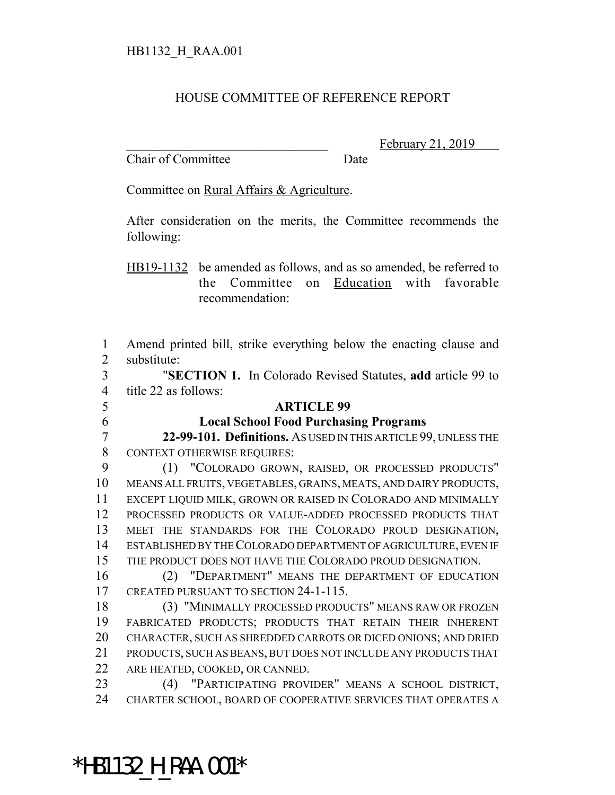## HOUSE COMMITTEE OF REFERENCE REPORT

Chair of Committee Date

February 21, 2019

Committee on Rural Affairs & Agriculture.

After consideration on the merits, the Committee recommends the following:

HB19-1132 be amended as follows, and as so amended, be referred to the Committee on Education with favorable recommendation:

 Amend printed bill, strike everything below the enacting clause and substitute: "**SECTION 1.** In Colorado Revised Statutes, **add** article 99 to title 22 as follows:

## **ARTICLE 99**

**Local School Food Purchasing Programs**

 **22-99-101. Definitions.** AS USED IN THIS ARTICLE 99, UNLESS THE CONTEXT OTHERWISE REQUIRES:

 (1) "COLORADO GROWN, RAISED, OR PROCESSED PRODUCTS" MEANS ALL FRUITS, VEGETABLES, GRAINS, MEATS, AND DAIRY PRODUCTS, EXCEPT LIQUID MILK, GROWN OR RAISED IN COLORADO AND MINIMALLY PROCESSED PRODUCTS OR VALUE-ADDED PROCESSED PRODUCTS THAT MEET THE STANDARDS FOR THE COLORADO PROUD DESIGNATION, ESTABLISHED BY THE COLORADO DEPARTMENT OF AGRICULTURE, EVEN IF THE PRODUCT DOES NOT HAVE THE COLORADO PROUD DESIGNATION.

 (2) "DEPARTMENT" MEANS THE DEPARTMENT OF EDUCATION 17 CREATED PURSUANT TO SECTION 24-1-115.

 (3) "MINIMALLY PROCESSED PRODUCTS" MEANS RAW OR FROZEN FABRICATED PRODUCTS; PRODUCTS THAT RETAIN THEIR INHERENT CHARACTER, SUCH AS SHREDDED CARROTS OR DICED ONIONS; AND DRIED PRODUCTS, SUCH AS BEANS, BUT DOES NOT INCLUDE ANY PRODUCTS THAT ARE HEATED, COOKED, OR CANNED.

 (4) "PARTICIPATING PROVIDER" MEANS A SCHOOL DISTRICT, CHARTER SCHOOL, BOARD OF COOPERATIVE SERVICES THAT OPERATES A

\*HB1132\_H\_RAA.001\*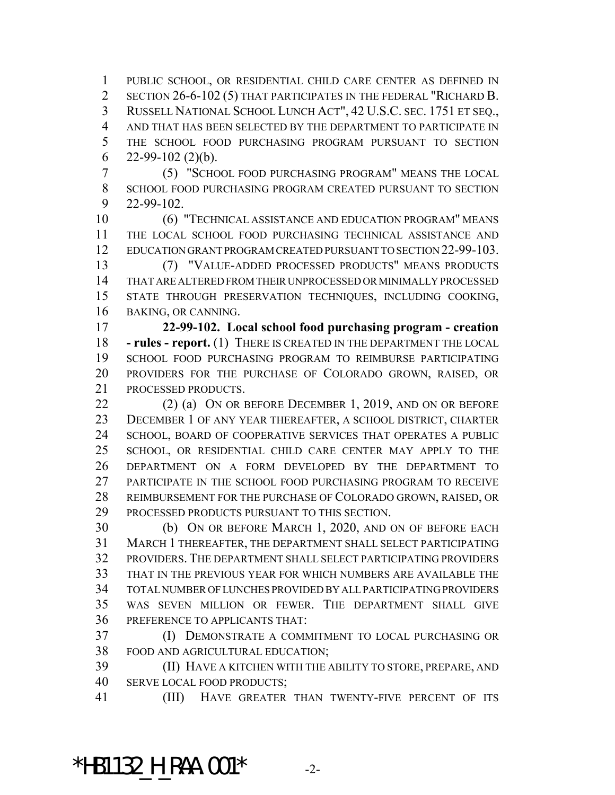PUBLIC SCHOOL, OR RESIDENTIAL CHILD CARE CENTER AS DEFINED IN 2 SECTION 26-6-102 (5) THAT PARTICIPATES IN THE FEDERAL "RICHARD B. RUSSELL NATIONAL SCHOOL LUNCH ACT", 42 U.S.C. SEC. 1751 ET SEQ., AND THAT HAS BEEN SELECTED BY THE DEPARTMENT TO PARTICIPATE IN THE SCHOOL FOOD PURCHASING PROGRAM PURSUANT TO SECTION 6 22-99-102  $(2)(b)$ .

 (5) "SCHOOL FOOD PURCHASING PROGRAM" MEANS THE LOCAL SCHOOL FOOD PURCHASING PROGRAM CREATED PURSUANT TO SECTION 22-99-102.

 (6) "TECHNICAL ASSISTANCE AND EDUCATION PROGRAM" MEANS THE LOCAL SCHOOL FOOD PURCHASING TECHNICAL ASSISTANCE AND EDUCATION GRANT PROGRAM CREATED PURSUANT TO SECTION 22-99-103.

 (7) "VALUE-ADDED PROCESSED PRODUCTS" MEANS PRODUCTS THAT ARE ALTERED FROM THEIR UNPROCESSED OR MINIMALLY PROCESSED STATE THROUGH PRESERVATION TECHNIQUES, INCLUDING COOKING, BAKING, OR CANNING.

 **22-99-102. Local school food purchasing program - creation - rules - report.** (1) THERE IS CREATED IN THE DEPARTMENT THE LOCAL SCHOOL FOOD PURCHASING PROGRAM TO REIMBURSE PARTICIPATING PROVIDERS FOR THE PURCHASE OF COLORADO GROWN, RAISED, OR PROCESSED PRODUCTS.

 (2) (a) ON OR BEFORE DECEMBER 1, 2019, AND ON OR BEFORE DECEMBER 1 OF ANY YEAR THEREAFTER, A SCHOOL DISTRICT, CHARTER SCHOOL, BOARD OF COOPERATIVE SERVICES THAT OPERATES A PUBLIC SCHOOL, OR RESIDENTIAL CHILD CARE CENTER MAY APPLY TO THE DEPARTMENT ON A FORM DEVELOPED BY THE DEPARTMENT TO PARTICIPATE IN THE SCHOOL FOOD PURCHASING PROGRAM TO RECEIVE REIMBURSEMENT FOR THE PURCHASE OF COLORADO GROWN, RAISED, OR PROCESSED PRODUCTS PURSUANT TO THIS SECTION.

 (b) ON OR BEFORE MARCH 1, 2020, AND ON OF BEFORE EACH MARCH 1 THEREAFTER, THE DEPARTMENT SHALL SELECT PARTICIPATING PROVIDERS. THE DEPARTMENT SHALL SELECT PARTICIPATING PROVIDERS THAT IN THE PREVIOUS YEAR FOR WHICH NUMBERS ARE AVAILABLE THE TOTAL NUMBER OF LUNCHES PROVIDED BY ALL PARTICIPATING PROVIDERS WAS SEVEN MILLION OR FEWER. THE DEPARTMENT SHALL GIVE PREFERENCE TO APPLICANTS THAT:

 (I) DEMONSTRATE A COMMITMENT TO LOCAL PURCHASING OR FOOD AND AGRICULTURAL EDUCATION;

 (II) HAVE A KITCHEN WITH THE ABILITY TO STORE, PREPARE, AND SERVE LOCAL FOOD PRODUCTS;

(III) HAVE GREATER THAN TWENTY-FIVE PERCENT OF ITS

\*HB1132 H RAA.001\*  $-2$ -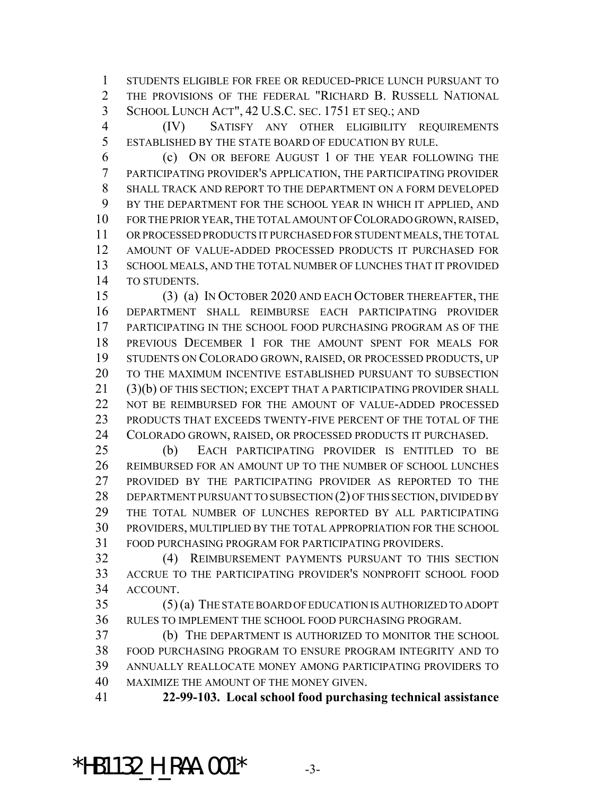STUDENTS ELIGIBLE FOR FREE OR REDUCED-PRICE LUNCH PURSUANT TO THE PROVISIONS OF THE FEDERAL "RICHARD B. RUSSELL NATIONAL SCHOOL LUNCH ACT", 42 U.S.C. SEC. 1751 ET SEQ.; AND

 (IV) SATISFY ANY OTHER ELIGIBILITY REQUIREMENTS ESTABLISHED BY THE STATE BOARD OF EDUCATION BY RULE.

 (c) ON OR BEFORE AUGUST 1 OF THE YEAR FOLLOWING THE PARTICIPATING PROVIDER'S APPLICATION, THE PARTICIPATING PROVIDER SHALL TRACK AND REPORT TO THE DEPARTMENT ON A FORM DEVELOPED BY THE DEPARTMENT FOR THE SCHOOL YEAR IN WHICH IT APPLIED, AND FOR THE PRIOR YEAR, THE TOTAL AMOUNT OF COLORADO GROWN, RAISED, OR PROCESSED PRODUCTS IT PURCHASED FOR STUDENT MEALS, THE TOTAL AMOUNT OF VALUE-ADDED PROCESSED PRODUCTS IT PURCHASED FOR SCHOOL MEALS, AND THE TOTAL NUMBER OF LUNCHES THAT IT PROVIDED TO STUDENTS.

 (3) (a) IN OCTOBER 2020 AND EACH OCTOBER THEREAFTER, THE DEPARTMENT SHALL REIMBURSE EACH PARTICIPATING PROVIDER PARTICIPATING IN THE SCHOOL FOOD PURCHASING PROGRAM AS OF THE PREVIOUS DECEMBER 1 FOR THE AMOUNT SPENT FOR MEALS FOR STUDENTS ON COLORADO GROWN, RAISED, OR PROCESSED PRODUCTS, UP TO THE MAXIMUM INCENTIVE ESTABLISHED PURSUANT TO SUBSECTION (3)(b) OF THIS SECTION; EXCEPT THAT A PARTICIPATING PROVIDER SHALL NOT BE REIMBURSED FOR THE AMOUNT OF VALUE-ADDED PROCESSED PRODUCTS THAT EXCEEDS TWENTY-FIVE PERCENT OF THE TOTAL OF THE COLORADO GROWN, RAISED, OR PROCESSED PRODUCTS IT PURCHASED.

 (b) EACH PARTICIPATING PROVIDER IS ENTITLED TO BE REIMBURSED FOR AN AMOUNT UP TO THE NUMBER OF SCHOOL LUNCHES PROVIDED BY THE PARTICIPATING PROVIDER AS REPORTED TO THE DEPARTMENT PURSUANT TO SUBSECTION (2) OF THIS SECTION, DIVIDED BY THE TOTAL NUMBER OF LUNCHES REPORTED BY ALL PARTICIPATING PROVIDERS, MULTIPLIED BY THE TOTAL APPROPRIATION FOR THE SCHOOL FOOD PURCHASING PROGRAM FOR PARTICIPATING PROVIDERS.

 (4) REIMBURSEMENT PAYMENTS PURSUANT TO THIS SECTION ACCRUE TO THE PARTICIPATING PROVIDER'S NONPROFIT SCHOOL FOOD ACCOUNT.

 (5) (a) THE STATE BOARD OF EDUCATION IS AUTHORIZED TO ADOPT RULES TO IMPLEMENT THE SCHOOL FOOD PURCHASING PROGRAM.

 (b) THE DEPARTMENT IS AUTHORIZED TO MONITOR THE SCHOOL FOOD PURCHASING PROGRAM TO ENSURE PROGRAM INTEGRITY AND TO ANNUALLY REALLOCATE MONEY AMONG PARTICIPATING PROVIDERS TO MAXIMIZE THE AMOUNT OF THE MONEY GIVEN.

**22-99-103. Local school food purchasing technical assistance**

\*HB1132 H RAA.001\*  $-3$ -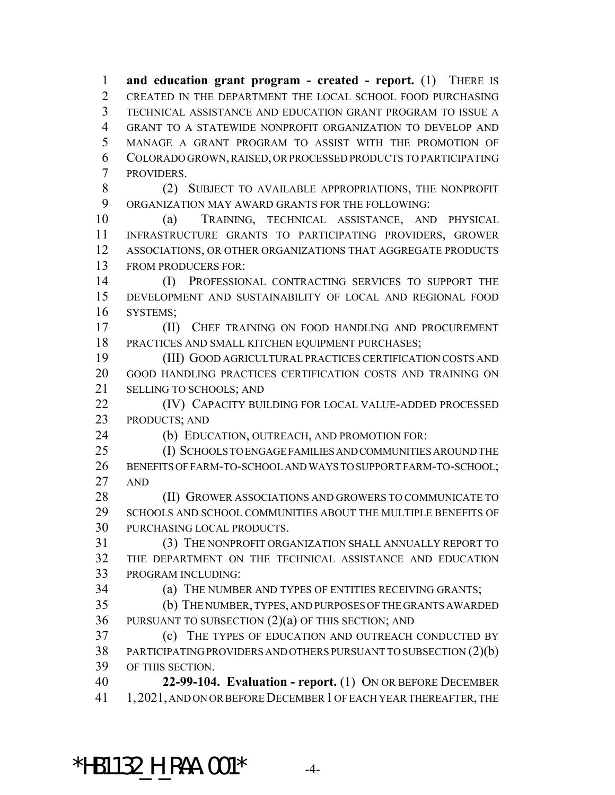**and education grant program - created - report.** (1) THERE IS CREATED IN THE DEPARTMENT THE LOCAL SCHOOL FOOD PURCHASING TECHNICAL ASSISTANCE AND EDUCATION GRANT PROGRAM TO ISSUE A GRANT TO A STATEWIDE NONPROFIT ORGANIZATION TO DEVELOP AND MANAGE A GRANT PROGRAM TO ASSIST WITH THE PROMOTION OF COLORADO GROWN, RAISED, OR PROCESSED PRODUCTS TO PARTICIPATING PROVIDERS.

 (2) SUBJECT TO AVAILABLE APPROPRIATIONS, THE NONPROFIT ORGANIZATION MAY AWARD GRANTS FOR THE FOLLOWING:

 (a) TRAINING, TECHNICAL ASSISTANCE, AND PHYSICAL INFRASTRUCTURE GRANTS TO PARTICIPATING PROVIDERS, GROWER ASSOCIATIONS, OR OTHER ORGANIZATIONS THAT AGGREGATE PRODUCTS FROM PRODUCERS FOR:

 (I) PROFESSIONAL CONTRACTING SERVICES TO SUPPORT THE DEVELOPMENT AND SUSTAINABILITY OF LOCAL AND REGIONAL FOOD SYSTEMS;

 (II) CHEF TRAINING ON FOOD HANDLING AND PROCUREMENT PRACTICES AND SMALL KITCHEN EQUIPMENT PURCHASES;

 (III) GOOD AGRICULTURAL PRACTICES CERTIFICATION COSTS AND GOOD HANDLING PRACTICES CERTIFICATION COSTS AND TRAINING ON SELLING TO SCHOOLS; AND

**(IV)** CAPACITY BUILDING FOR LOCAL VALUE-ADDED PROCESSED PRODUCTS; AND

(b) EDUCATION, OUTREACH, AND PROMOTION FOR:

 (I) SCHOOLS TO ENGAGE FAMILIES AND COMMUNITIES AROUND THE BENEFITS OF FARM-TO-SCHOOL AND WAYS TO SUPPORT FARM-TO-SCHOOL; AND

28 (II) GROWER ASSOCIATIONS AND GROWERS TO COMMUNICATE TO SCHOOLS AND SCHOOL COMMUNITIES ABOUT THE MULTIPLE BENEFITS OF PURCHASING LOCAL PRODUCTS.

 (3) THE NONPROFIT ORGANIZATION SHALL ANNUALLY REPORT TO THE DEPARTMENT ON THE TECHNICAL ASSISTANCE AND EDUCATION PROGRAM INCLUDING:

(a) THE NUMBER AND TYPES OF ENTITIES RECEIVING GRANTS;

 (b) THE NUMBER, TYPES, AND PURPOSES OF THE GRANTS AWARDED PURSUANT TO SUBSECTION (2)(a) OF THIS SECTION; AND

 (c) THE TYPES OF EDUCATION AND OUTREACH CONDUCTED BY PARTICIPATING PROVIDERS AND OTHERS PURSUANT TO SUBSECTION (2)(b) OF THIS SECTION.

 **22-99-104. Evaluation - report.** (1) ON OR BEFORE DECEMBER 1,2021, AND ON OR BEFORE DECEMBER 1 OF EACH YEAR THEREAFTER, THE

\*HB1132 H RAA.001\*  $-4$